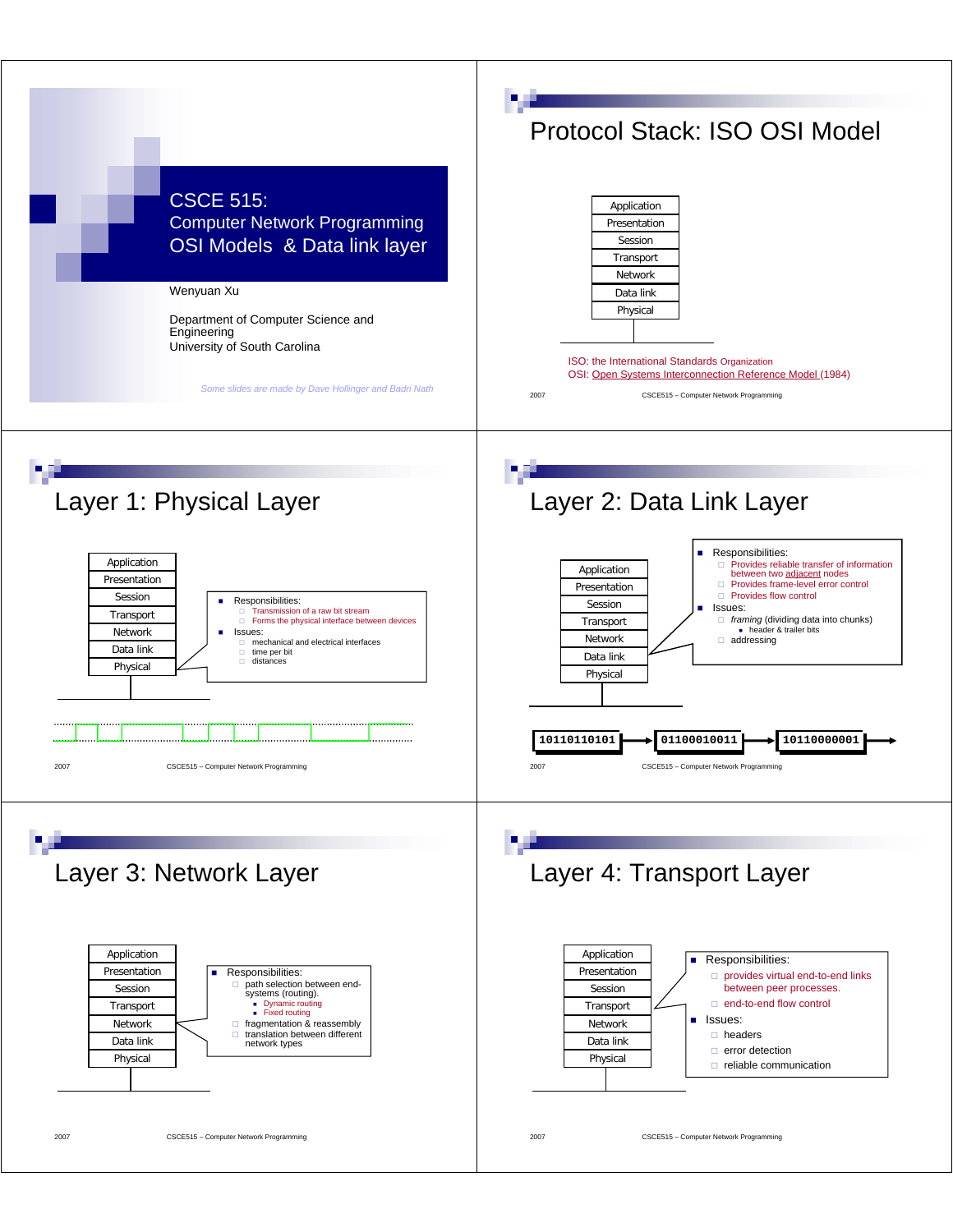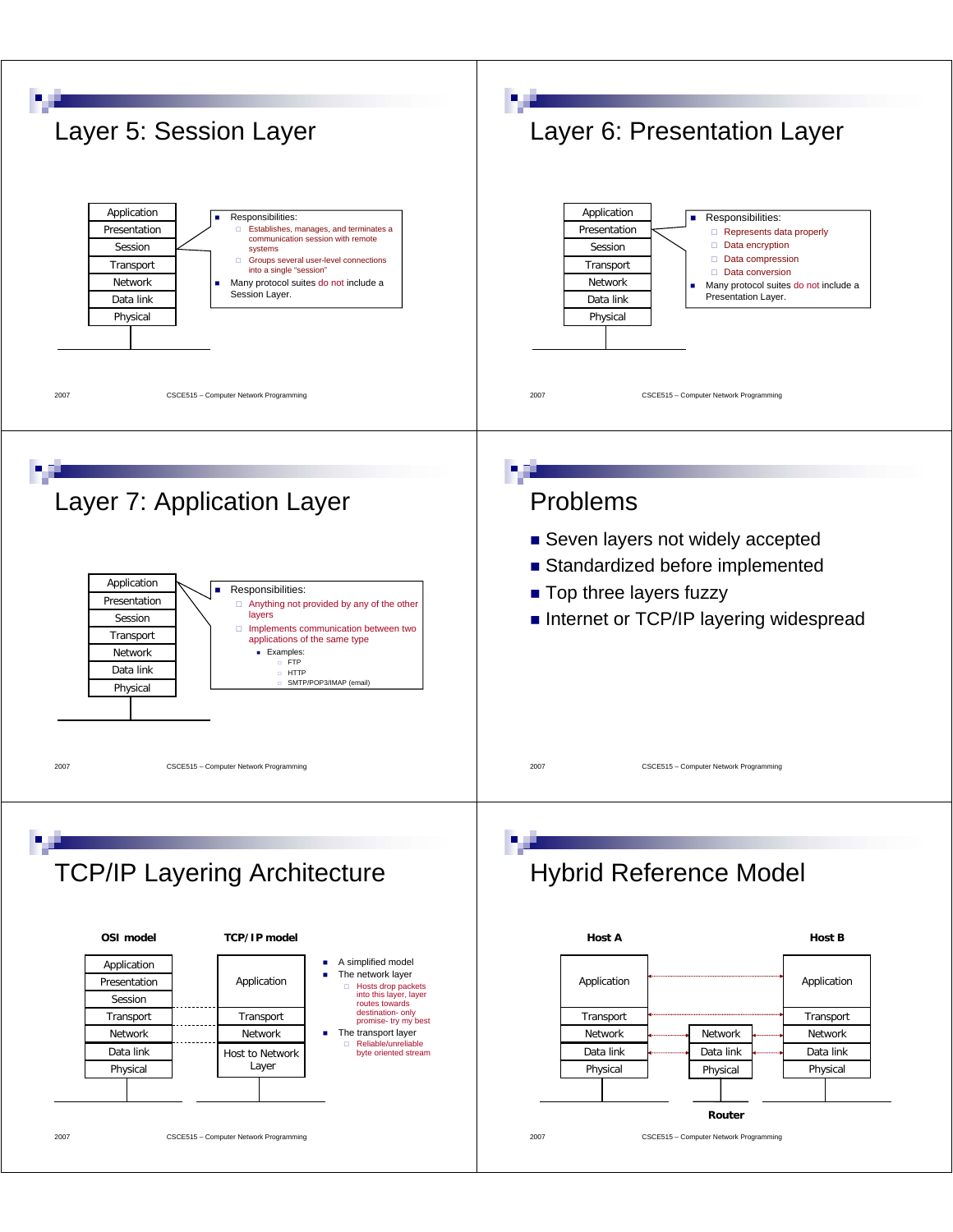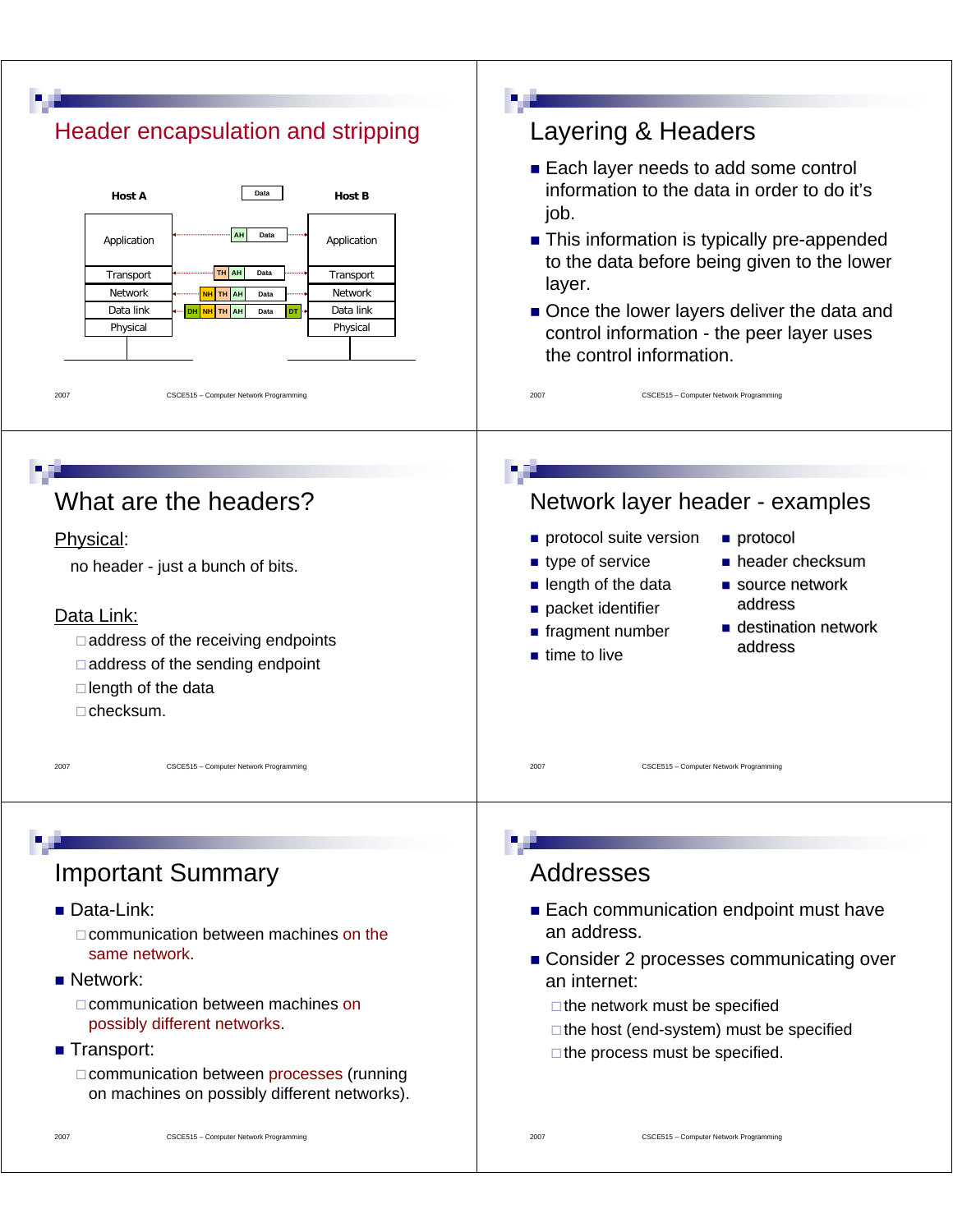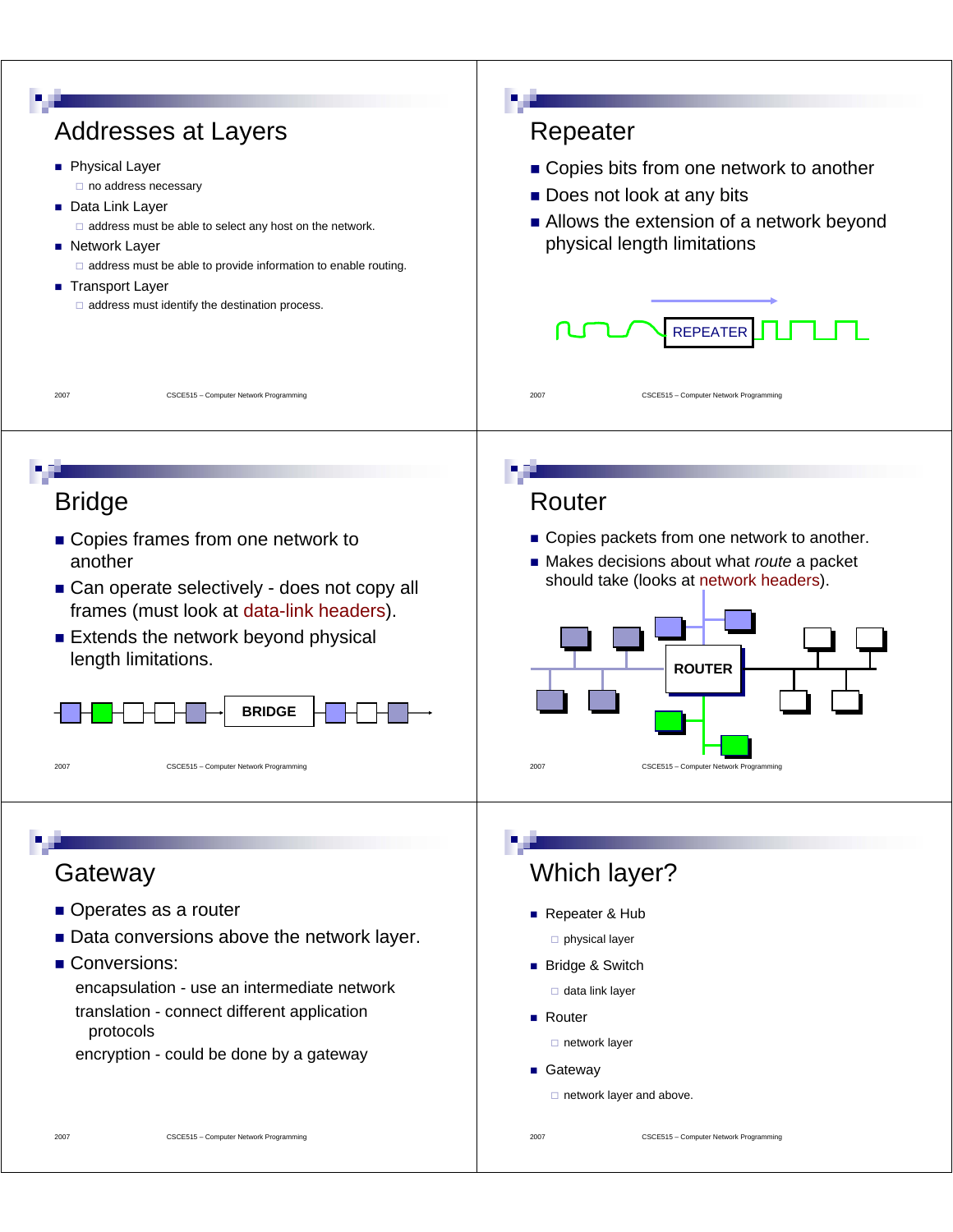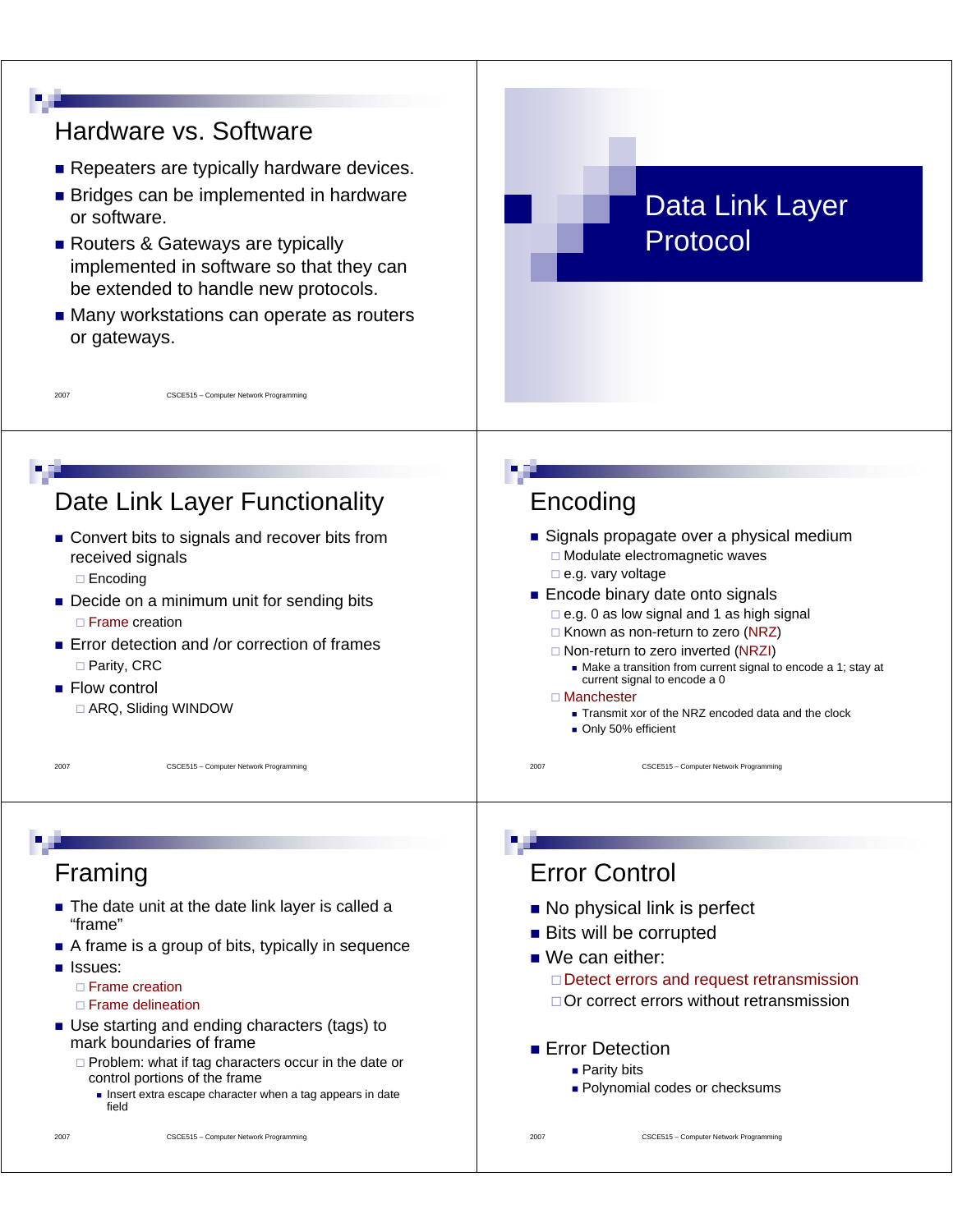

2007 CSCE515 – Computer Network Programming

**Polynomial codes or checksums** 

**Parity bits** 

- □ Problem: what if tag characters occur in the date or control portions of the frame
	- Insert extra escape character when a tag appears in date field

2007 CSCE515 – Computer Network Programming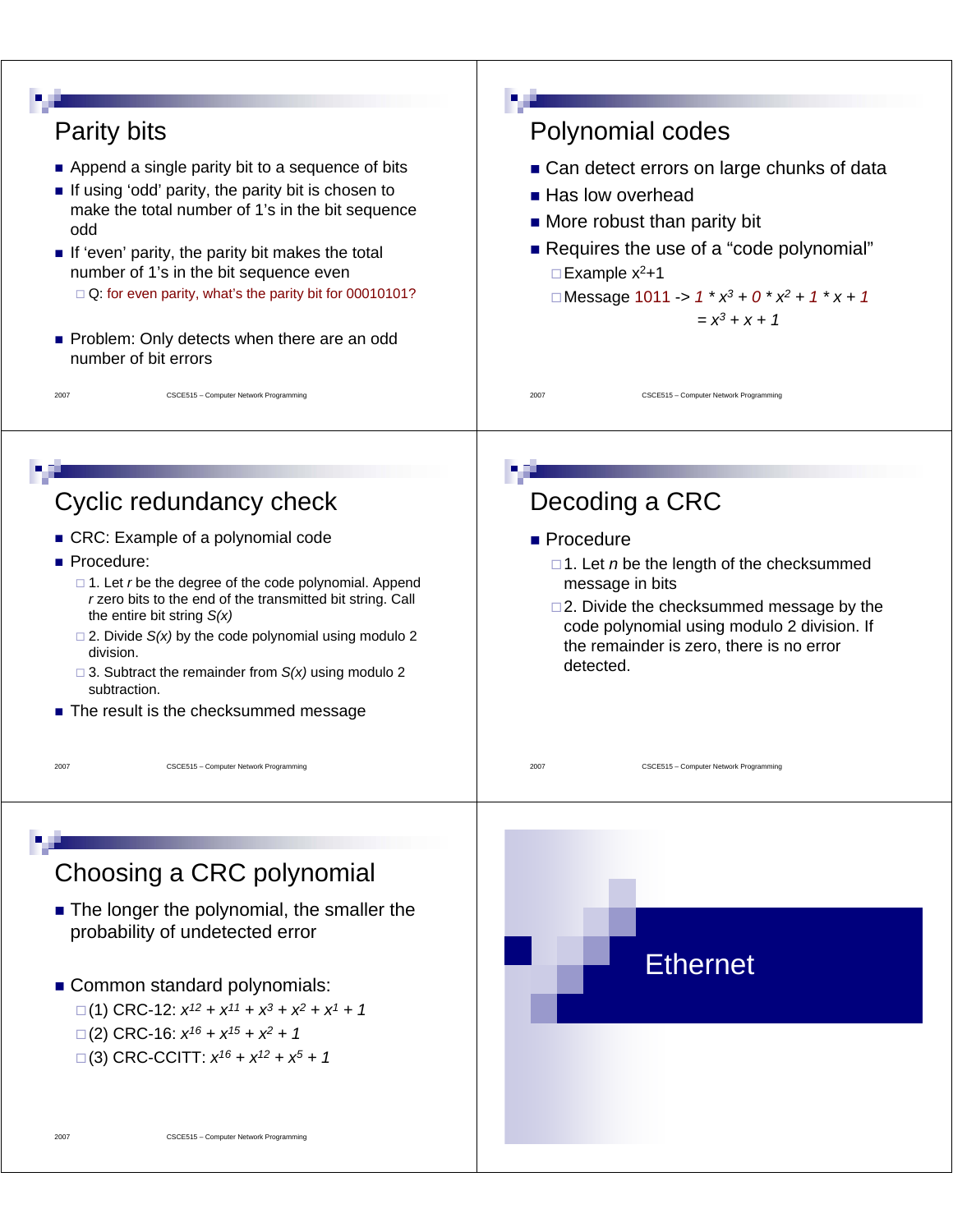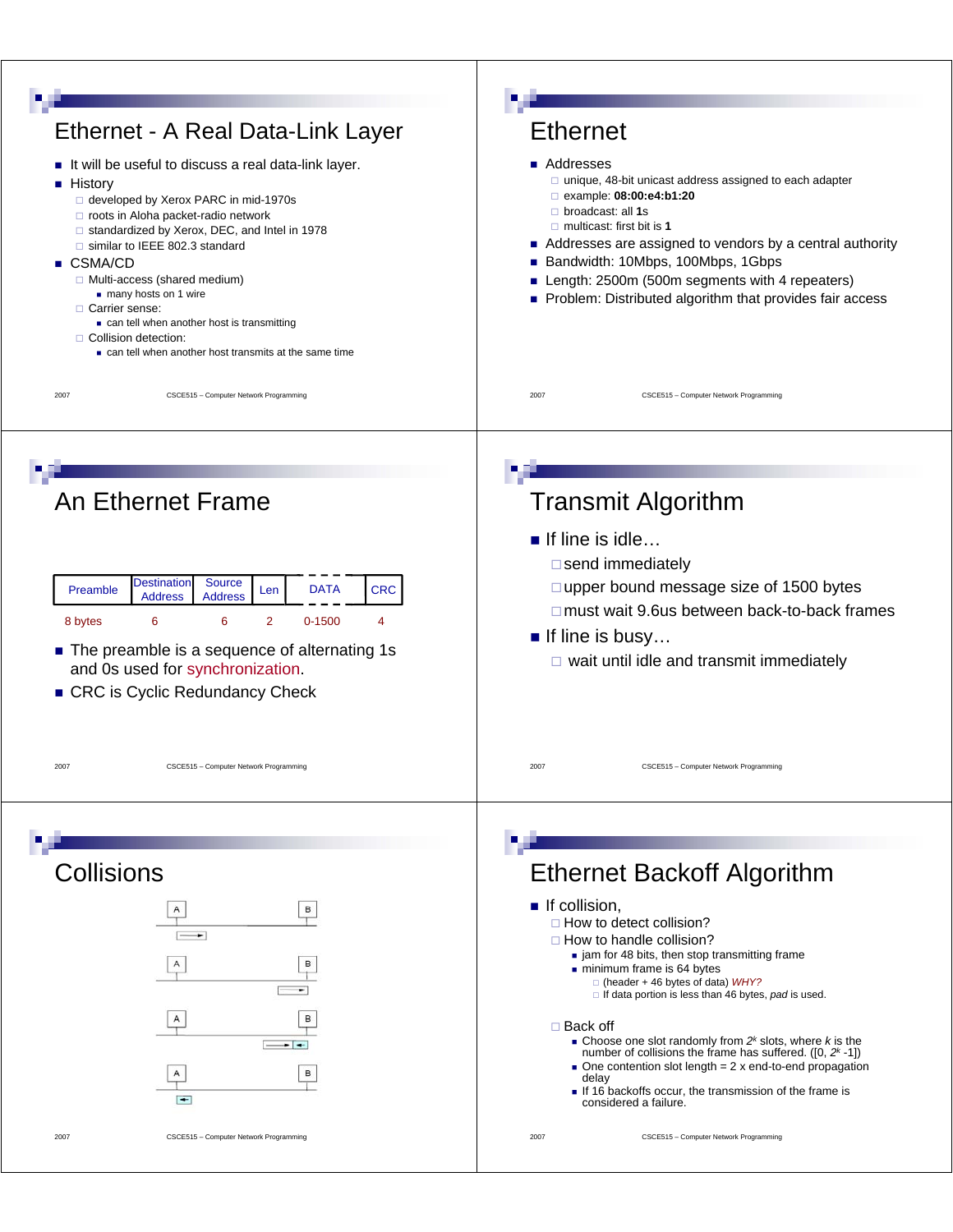